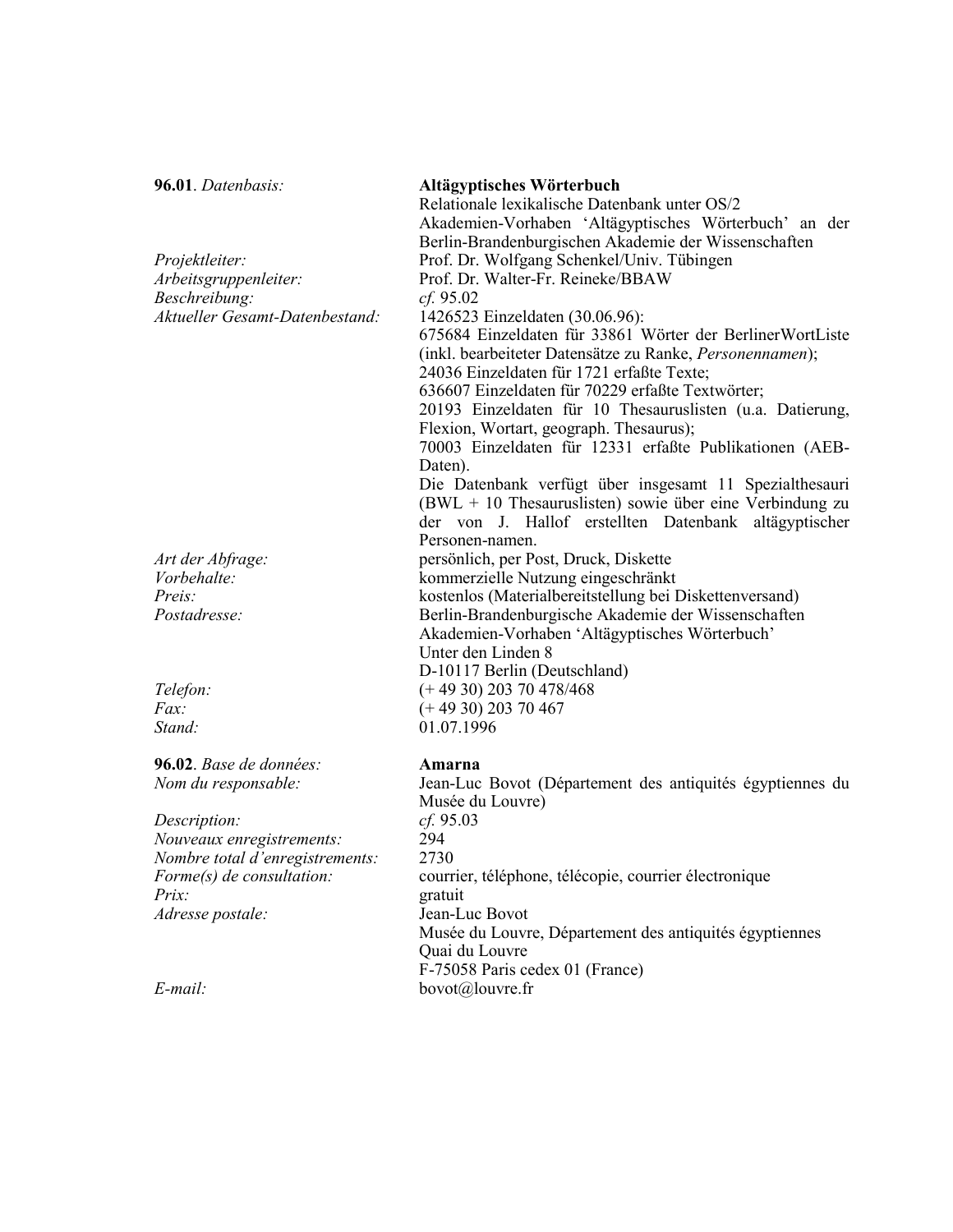| 96.01. Datenbasis:                     | Altägyptisches Wörterbuch<br>Relationale lexikalische Datenbank unter OS/2<br>Akademien-Vorhaben 'Altägyptisches Wörterbuch' an der<br>Berlin-Brandenburgischen Akademie der Wissenschaften |
|----------------------------------------|---------------------------------------------------------------------------------------------------------------------------------------------------------------------------------------------|
| Projektleiter:                         | Prof. Dr. Wolfgang Schenkel/Univ. Tübingen                                                                                                                                                  |
| Arbeitsgruppenleiter:<br>Beschreibung: | Prof. Dr. Walter-Fr. Reineke/BBAW<br>cf. 95.02                                                                                                                                              |
| Aktueller Gesamt-Datenbestand:         | 1426523 Einzeldaten (30.06.96):                                                                                                                                                             |
|                                        | 675684 Einzeldaten für 33861 Wörter der BerlinerWortListe                                                                                                                                   |
|                                        | (inkl. bearbeiteter Datensätze zu Ranke, Personennamen);<br>24036 Einzeldaten für 1721 erfaßte Texte;                                                                                       |
|                                        | 636607 Einzeldaten für 70229 erfaßte Textwörter;                                                                                                                                            |
|                                        | 20193 Einzeldaten für 10 Thesauruslisten (u.a. Datierung,                                                                                                                                   |
|                                        | Flexion, Wortart, geograph. Thesaurus);<br>70003 Einzeldaten für 12331 erfaßte Publikationen (AEB-                                                                                          |
|                                        | Daten).                                                                                                                                                                                     |
|                                        | Die Datenbank verfügt über insgesamt 11 Spezialthesauri                                                                                                                                     |
|                                        | $(BWL + 10)$ Thesauruslisten) sowie über eine Verbindung zu<br>der von J. Hallof erstellten Datenbank altägyptischer                                                                        |
|                                        | Personen-namen.                                                                                                                                                                             |
| Art der Abfrage:                       | persönlich, per Post, Druck, Diskette                                                                                                                                                       |
| Vorbehalte:                            | kommerzielle Nutzung eingeschränkt                                                                                                                                                          |
| Preis:                                 | kostenlos (Materialbereitstellung bei Diskettenversand)                                                                                                                                     |
| Postadresse:                           | Berlin-Brandenburgische Akademie der Wissenschaften                                                                                                                                         |
|                                        | Akademien-Vorhaben 'Altägyptisches Wörterbuch'<br>Unter den Linden 8                                                                                                                        |
|                                        | D-10117 Berlin (Deutschland)                                                                                                                                                                |
| Telefon:                               | $(+ 49 30) 203 70 478/468$                                                                                                                                                                  |
| $Fax$ :                                | $(+ 49 30) 203 70 467$                                                                                                                                                                      |
| Stand:                                 | 01.07.1996                                                                                                                                                                                  |
| 96.02. Base de données:                | Amarna                                                                                                                                                                                      |
| Nom du responsable:                    | Jean-Luc Bovot (Département des antiquités égyptiennes du<br>Musée du Louvre)                                                                                                               |
| Description:                           | cf. 95.03                                                                                                                                                                                   |
| Nouveaux enregistrements:              | 294                                                                                                                                                                                         |
| Nombre total d'enregistrements:        | 2730                                                                                                                                                                                        |
| Forme(s) de consultation:              | courrier, téléphone, télécopie, courrier électronique                                                                                                                                       |
| Prix:                                  | gratuit                                                                                                                                                                                     |
| Adresse postale:                       | Jean-Luc Bovot                                                                                                                                                                              |
|                                        | Musée du Louvre, Département des antiquités égyptiennes                                                                                                                                     |
|                                        | Quai du Louvre<br>F-75058 Paris cedex 01 (France)                                                                                                                                           |
| E-mail:                                | bovot@louvre.fr                                                                                                                                                                             |
|                                        |                                                                                                                                                                                             |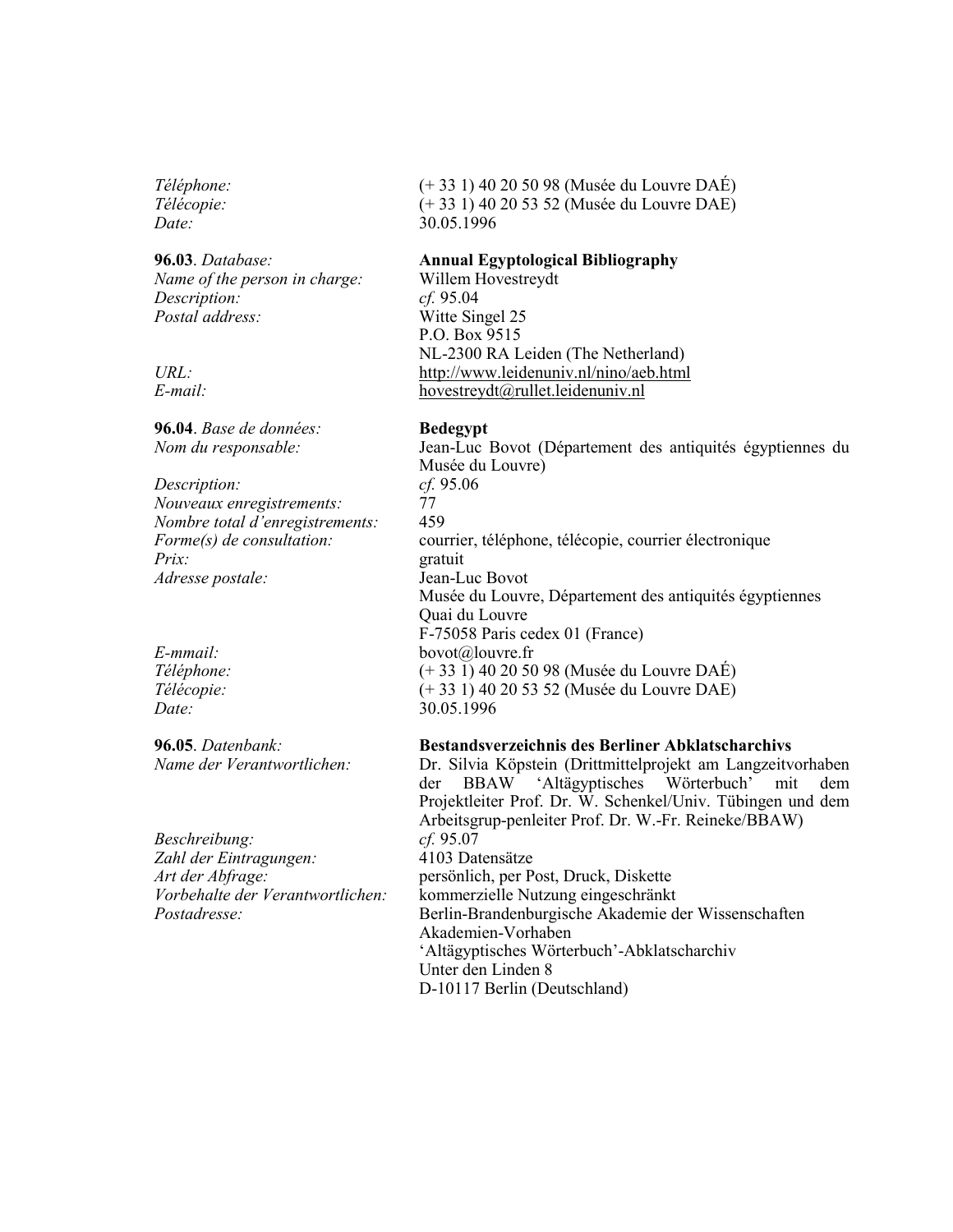Téléphone: Télécopie: Date:

96.03. Database: Name of the person in charge: Description: Postal address:

 $URL:$  $E$ -mail:

96.04. Base de données: Nom du responsable:

Description: Nouveaux enregistrements: Nombre total d'enregistrements: Forme(s) de consultation:  $Prix$ : Adresse postale:

 $E$ -mmail: Téléphone: Télécopie: Date:

96.05. Datenbank: Name der Verantwortlichen:

Beschreibung: Zahl der Eintragungen: Art der Abfrage: Vorbehalte der Verantwortlichen: Postadresse:

(+ 33 1) 40 20 50 98 (Musée du Louvre DAÉ) (+ 33 1) 40 20 53 52 (Musée du Louvre DAE) 30.05.1996

## **Annual Egyptological Bibliography**

Willem Hovestreydt  $cf. 95.04$ Witte Singel 25 P.O. Box 9515 NL-2300 RA Leiden (The Netherland) http://www.leidenuniv.nl/nino/aeb.html hovestreydt@rullet.leidenuniv.nl

### **Bedegypt**

Jean-Luc Bovot (Département des antiquités égyptiennes du Musée du Louvre)  $cf. 95.06$ 77 459 courrier, téléphone, télécopie, courrier électronique gratuit Jean-Luc Bovot Musée du Louvre, Département des antiquités égyptiennes Quai du Louvre F-75058 Paris cedex 01 (France) bovot@louvre.fr  $(+33 \overline{1})$  40 20 50 98 (Musée du Louvre DAÉ) (+ 33 1) 40 20 53 52 (Musée du Louvre DAE) 30 05 1996

### **Bestandsverzeichnis des Berliner Abklatscharchivs**

Dr. Silvia Köpstein (Drittmittelprojekt am Langzeitvorhaben **BBAW** 'Altägyptisches Wörterbuch' der mit dem Projektleiter Prof. Dr. W. Schenkel/Univ. Tübingen und dem Arbeitsgrup-penleiter Prof. Dr. W.-Fr. Reineke/BBAW)  $cf. 95.07$ 4103 Datensätze persönlich, per Post, Druck, Diskette kommerzielle Nutzung eingeschränkt Berlin-Brandenburgische Akademie der Wissenschaften Akademien-Vorhaben 'Altägyptisches Wörterbuch'-Abklatscharchiv Unter den Linden 8 D-10117 Berlin (Deutschland)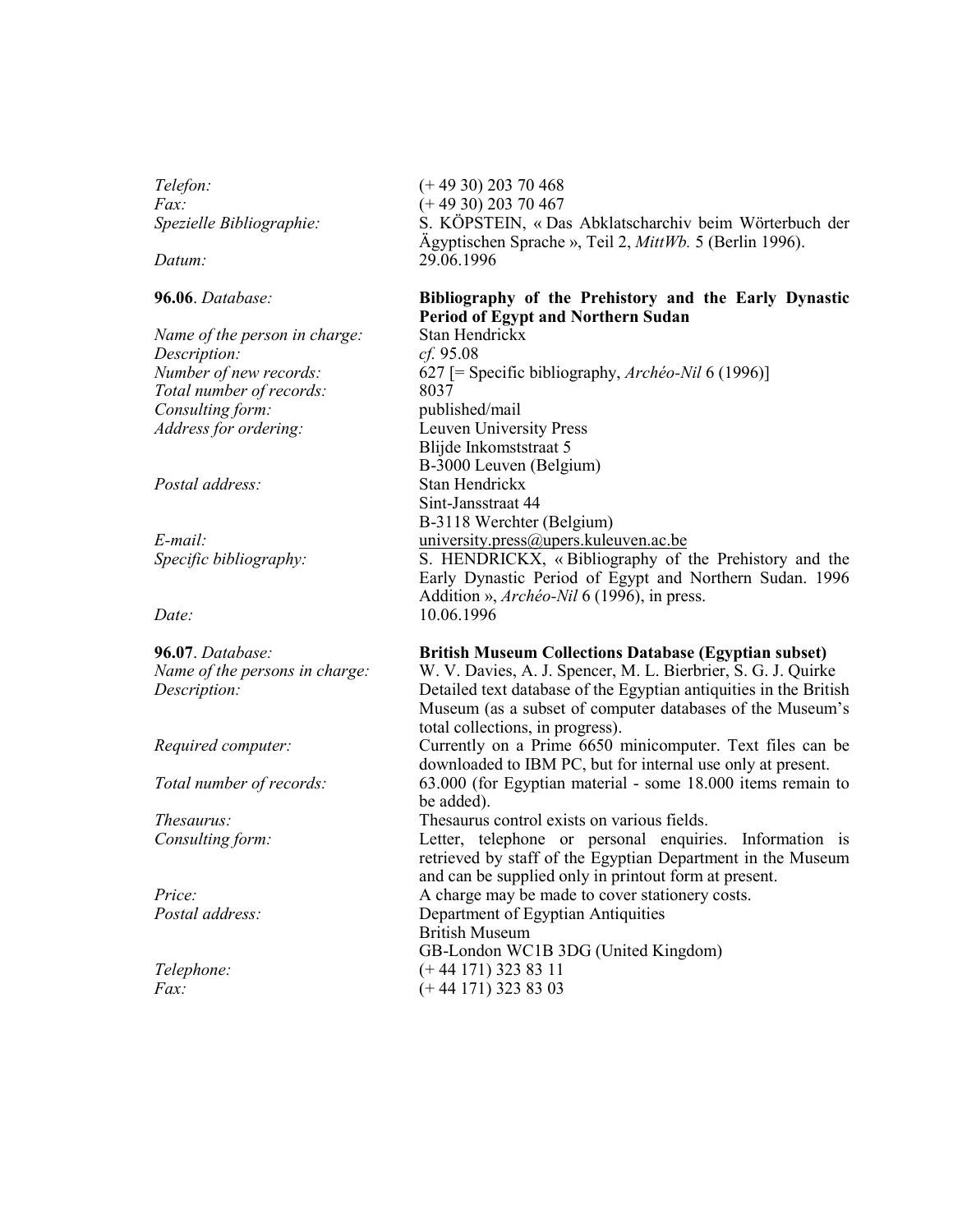Telefon:  $Fax$ : Spezielle Bibliographie:

Datum:

96.06. Database:

Name of the person in charge: Description: Number of new records: Total number of records: Consulting form: Address for ordering:

Postal address:

 $E$ -mail: Specific bibliography:

Date:

96.07. Database: Name of the persons in charge: Description:

Required computer:

Total number of records:

Thesaurus: Consulting form:

 $Price:$ Postal address:

Telephone:  $Fax$ :

 $(+ 49 30) 203 70 468$  $(+ 49 30) 203 70 467$ S. KÖPSTEIN, « Das Abklatscharchiv beim Wörterbuch der Ägyptischen Sprache », Teil 2, MittWb. 5 (Berlin 1996). 29.06.1996

# Bibliography of the Prehistory and the Early Dynastic **Period of Egypt and Northern Sudan**

Stan Hendrickx  $cf. 95.08$ 627 [= Specific bibliography,  $Arch\acute{e}o-Nil$  6 (1996)] 8037 published/mail Leuven University Press Bliide Inkomststraat 5 B-3000 Leuven (Belgium) Stan Hendrickx Sint-Jansstraat 44 B-3118 Werchter (Belgium) university.press@upers.kuleuven.ac.be S. HENDRICKX, «Bibliography of the Prehistory and the Early Dynastic Period of Egypt and Northern Sudan. 1996 Addition », *Archéo-Nil* 6 (1996), in press. 10.06.1996

# **British Museum Collections Database (Egyptian subset)**

W. V. Davies, A. J. Spencer, M. L. Bierbrier, S. G. J. Quirke Detailed text database of the Egyptian antiquities in the British Museum (as a subset of computer databases of the Museum's total collections, in progress).

Currently on a Prime 6650 minicomputer. Text files can be downloaded to IBM PC, but for internal use only at present. 63.000 (for Egyptian material - some 18.000 items remain to

be added). Thesaurus control exists on various fields.

Letter, telephone or personal enquiries. Information is retrieved by staff of the Egyptian Department in the Museum and can be supplied only in printout form at present. A charge may be made to cover stationery costs.

Department of Egyptian Antiquities

**British Museum** GB-London WC1B 3DG (United Kingdom)  $(+ 44 171)$  323 83 11

 $(+ 44 171)$  323 83 03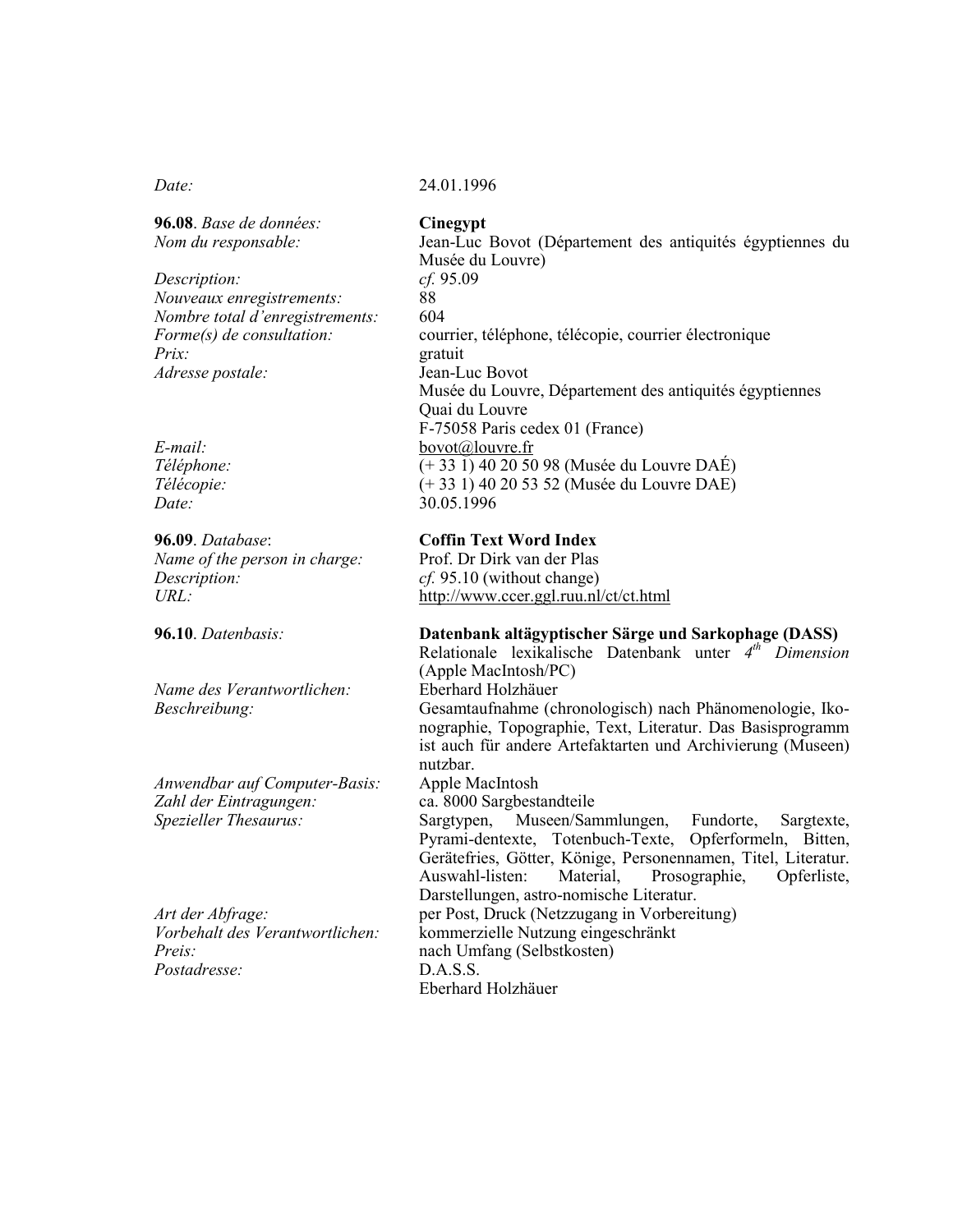$Date:$ 

96.08. Base de données: Nom du responsable:

Description: Nouveaux enregistrements: Nombre total d'enregistrements: Forme(s) de consultation:  $Prix$ : Adresse postale:

 $E$ -mail: Téléphone: Télécopie: Date:

96.09. Database: Name of the person in charge: Description:  $URL:$ 

96.10. Datenbasis:

Name des Verantwortlichen: Beschreibung:

Anwendbar auf Computer-Basis: Zahl der Eintragungen: Spezieller Thesaurus:

Art der Abfrage: Vorbehalt des Verantwortlichen:  $Preis:$ Postadresse:

### 24.01.1996

Cinegypt

Jean-Luc Bovot (Département des antiquités égyptiennes du Musée du Louvre)  $cf. 95.09$ 88 604 courrier, téléphone, télécopie, courrier électronique gratuit Jean-Luc Bovot Musée du Louvre, Département des antiquités égyptiennes Quai du Louvre F-75058 Paris cedex 01 (France) bovot@louvre.fr  $(+ 33 \overline{1})$  40 20 50 98 (Musée du Louvre DAÉ)  $(+ 33 1)$  40 20 53 52 (Musée du Louvre DAE) 30.05.1996

# **Coffin Text Word Index**

Prof. Dr Dirk van der Plas  $cf. 95.10$  (without change) http://www.ccer.ggl.ruu.nl/ct/ct.html

### Datenbank altägyptischer Särge und Sarkophage (DASS)

Relationale lexikalische Datenbank unter  $4^{th}$  Dimension (Apple MacIntosh/PC) Eberhard Holzhäuer Gesamtaufnahme (chronologisch) nach Phänomenologie, Ikonographie, Topographie, Text, Literatur. Das Basisprogramm ist auch für andere Artefaktarten und Archivierung (Museen) nutzbar.

Apple MacIntosh

ca. 8000 Sargbestandteile

Museen/Sammlungen, Sargtypen, Fundorte, Sargtexte, Pyrami-dentexte, Totenbuch-Texte, Opferformeln, Bitten, Gerätefries, Götter, Könige, Personennamen, Titel, Literatur. Auswahl-listen: Material. Prosographie, Opferliste, Darstellungen, astro-nomische Literatur. per Post, Druck (Netzzugang in Vorbereitung) kommerzielle Nutzung eingeschränkt nach Umfang (Selbstkosten)

 $D.A.S.S.$ Eberhard Holzhäuer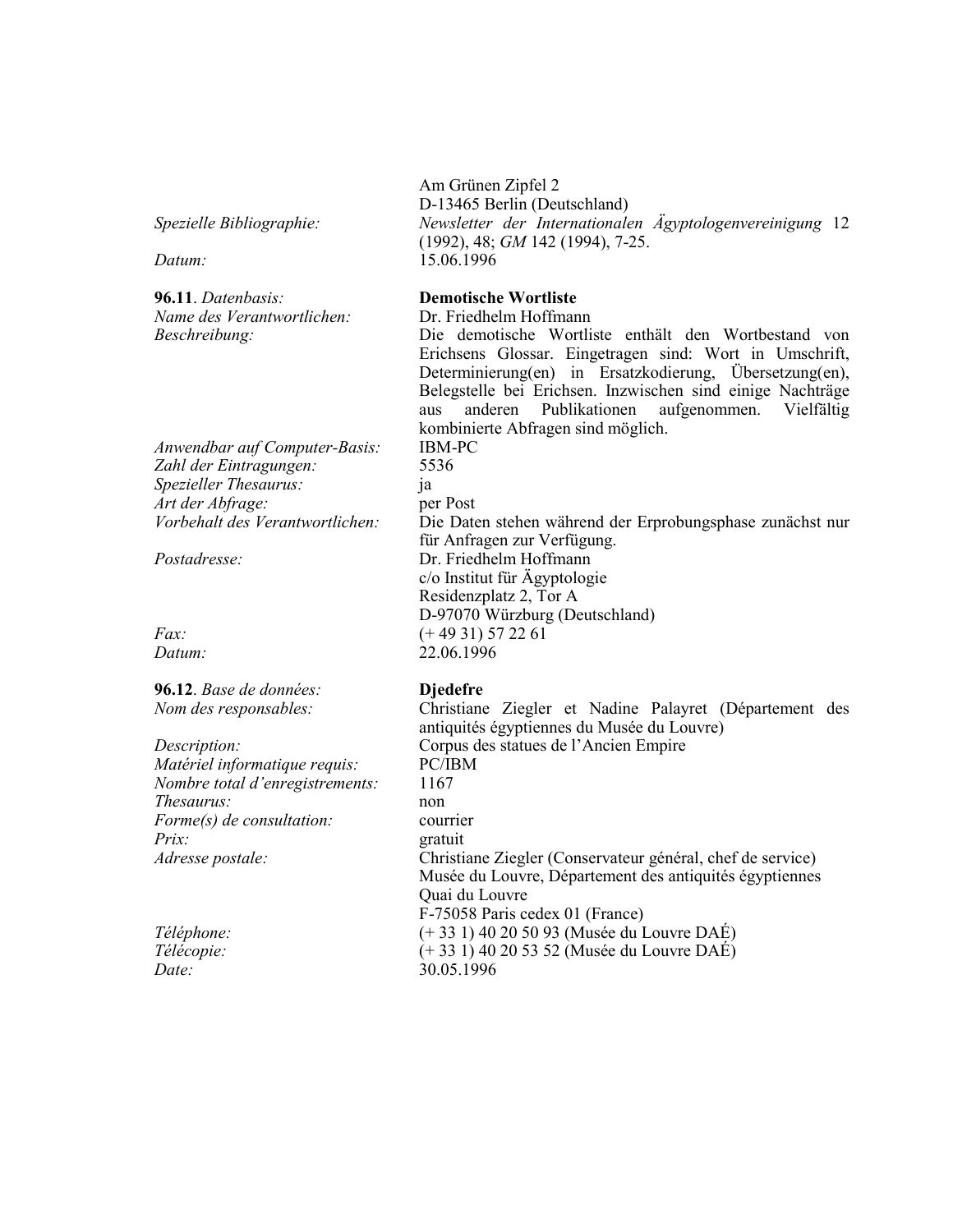Spezielle Bibliographie:

Datum:

96.11. Datenbasis: Name des Verantwortlichen: Beschreibung:

Anwendbar auf Computer-Basis: Zahl der Eintragungen: Spezieller Thesaurus: Art der Abfrage: Vorbehalt des Verantwortlichen:

Postadresse:

 $Fax^$ Datum:

96.12. Base de données: Nom des responsables:

Description: Matériel informatique requis: Nombre total d'enregistrements: *Thesaurus:*  $\textit{Forme}(s)$  de consultation:  $Prix$ : Adresse postale:

Téléphone: Télécopie: Date:

Am Grünen Zipfel 2 D-13465 Berlin (Deutschland) Newsletter der Internationalen Ägyptologenvereinigung 12  $(1992)$ , 48; GM 142 (1994), 7-25. 15 06 1996

### **Demotische Wortliste**

Dr. Friedhelm Hoffmann

Die demotische Wortliste enthält den Wortbestand von Erichsens Glossar. Eingetragen sind: Wort in Umschrift, Determinierung(en) in Ersatzkodierung, Übersetzung(en), Belegstelle bei Erichsen. Inzwischen sind einige Nachträge aus anderen Publikationen aufgenommen. Vielfältig kombinierte Abfragen sind möglich.

**IBM-PC** 5536 ia per Post Die Daten stehen während der Erprobungsphase zunächst nur für Anfragen zur Verfügung. Dr. Friedhelm Hoffmann c/o Institut für Ägyptologie Residenzplatz 2, Tor A D-97070 Würzburg (Deutschland)  $(+ 49 31) 57 22 61$ 22.06.1996

### **Diedefre**

Christiane Ziegler et Nadine Palayret (Département des antiquités égyptiennes du Musée du Louvre) Corpus des statues de l'Ancien Empire PC/IBM 1167 non courrier gratuit Christiane Ziegler (Conservateur général, chef de service) Musée du Louvre, Département des antiquités égyptiennes Quai du Louvre F-75058 Paris cedex 01 (France) (+ 33 1) 40 20 50 93 (Musée du Louvre DAÉ)  $(+ 33 1)$  40 20 53 52 (Musée du Louvre DAÉ) 30.05.1996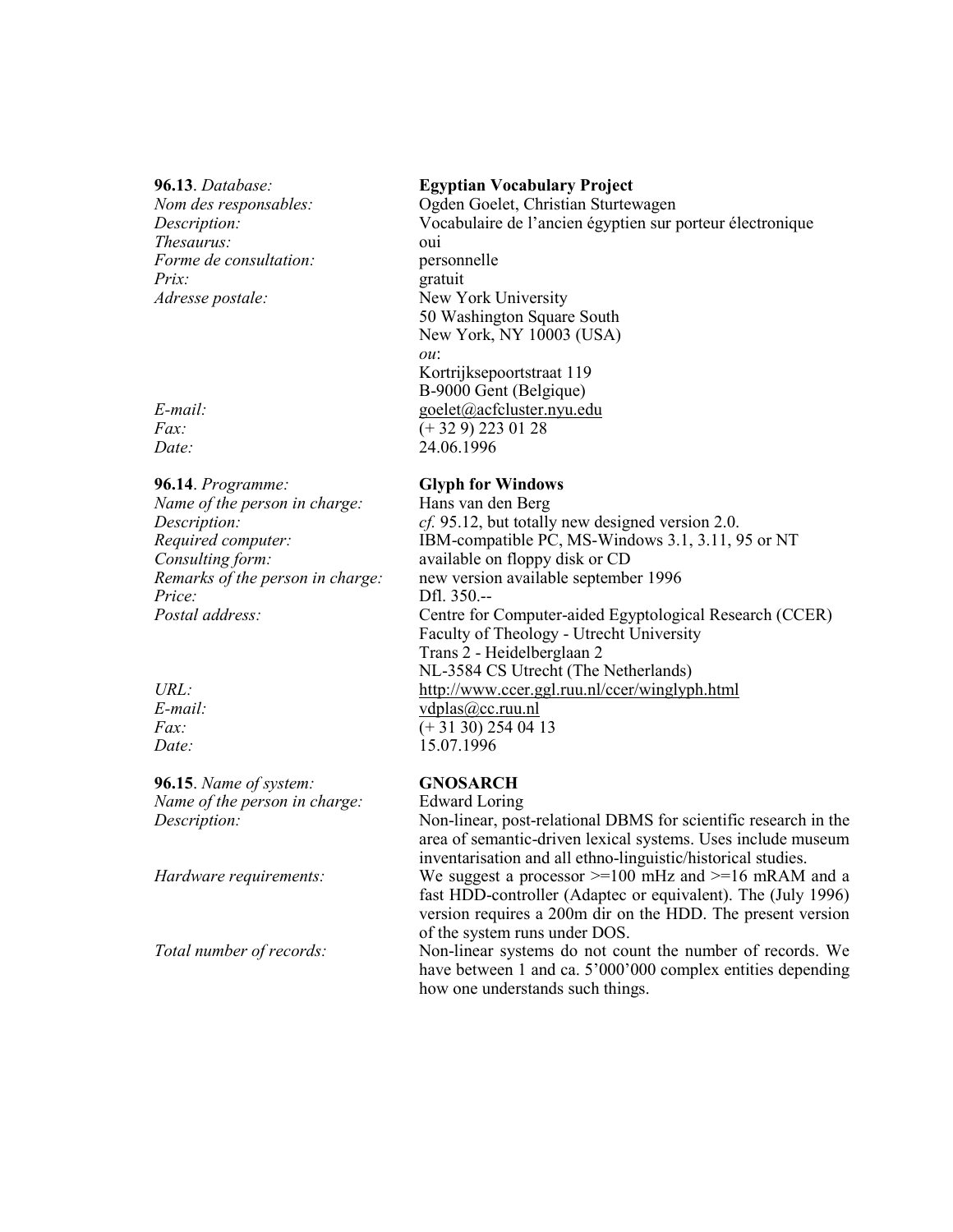$96.13$  Database: Nom des responsables: Description: Thesaurus: Forme de consultation:  $Priv$ Adresse postale:

 $E$ -mail:  $Fax$ Date:

96.14. Programme:

Name of the person in charge: Description: Required computer: Consulting form: Remarks of the person in charge:  $Price:$ Postal address:

 $URL:$  $E$ -mail:  $Fax$ : Date:

96.15. Name of system: Name of the person in charge: Description:

Hardware requirements:

Total number of records:

### **Egyptian Vocabulary Project**

Ogden Goelet, Christian Sturtewagen Vocabulaire de l'ancien égyptien sur porteur électronique oui personnelle gratuit New York University 50 Washington Square South New York, NY 10003 (USA)  $ou:$ Kortrijksepoortstraat 119 B-9000 Gent (Belgique) goelet@acfcluster.nyu.edu  $(+329)$  223 01 28 24.06.1996

# **Glyph for Windows**

Hans van den Berg cf. 95.12, but totally new designed version 2.0. IBM-compatible PC, MS-Windows 3.1, 3.11, 95 or NT available on floppy disk or CD new version available september 1996 Dfl. 350.--Centre for Computer-aided Egyptological Research (CCER) Faculty of Theology - Utrecht University Trans 2 - Heidelberglaan 2 NL-3584 CS Utrecht (The Netherlands) http://www.ccer.ggl.ruu.nl/ccer/winglyph.html  $vdplas@cc.ruu.nl$  $(+ 31 30) 254 04 13$ 15.07.1996

# **GNOSARCH**

Edward Loring

Non-linear, post-relational DBMS for scientific research in the area of semantic-driven lexical systems. Uses include museum inventarisation and all ethno-linguistic/historical studies.

We suggest a processor  $>=100$  mHz and  $>=16$  mRAM and a fast HDD-controller (Adaptec or equivalent). The (July 1996) version requires a 200m dir on the HDD. The present version of the system runs under DOS.

Non-linear systems do not count the number of records. We have between 1 and ca. 5'000'000 complex entities depending how one understands such things.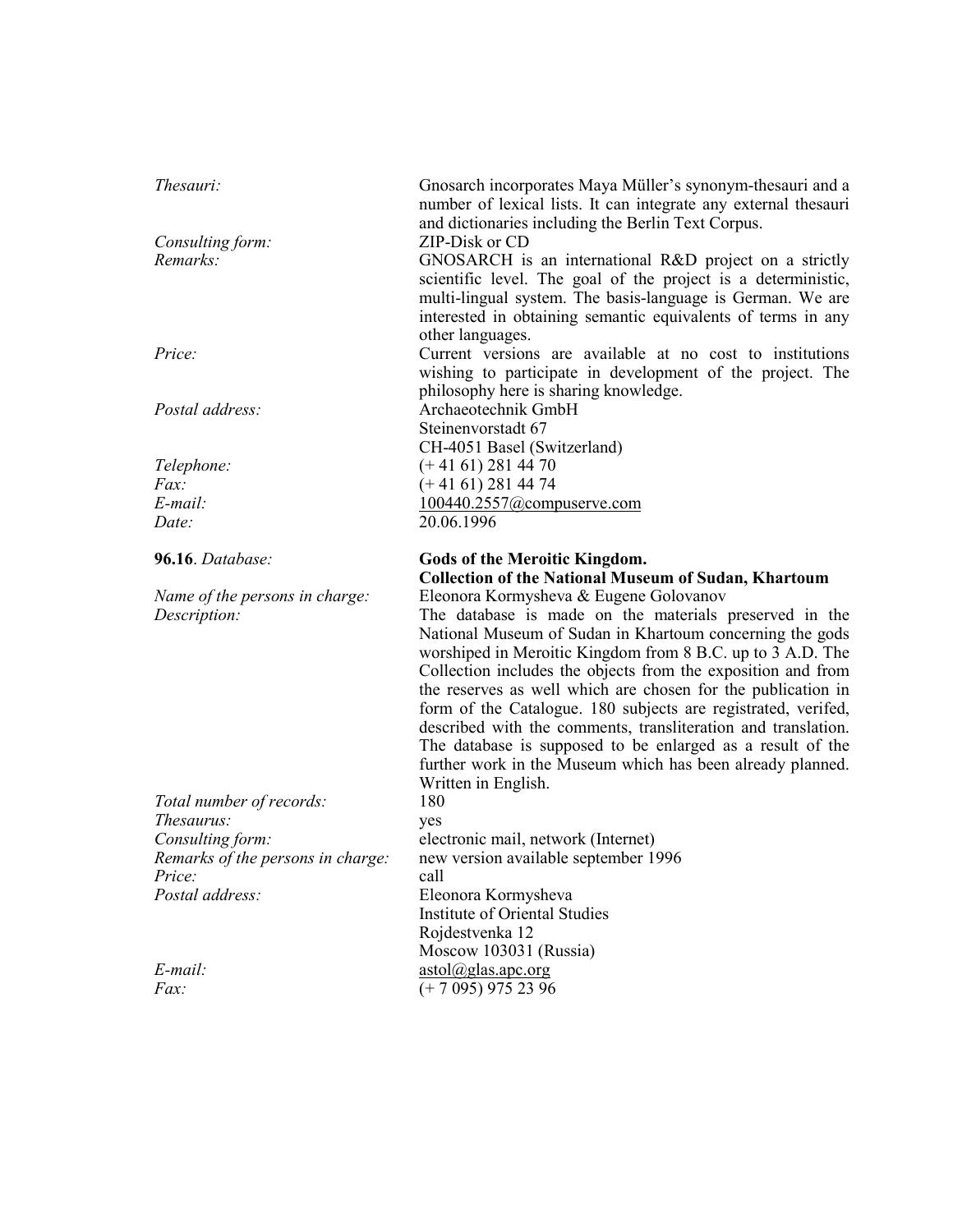| Thesauri:                                                       | Gnosarch incorporates Maya Müller's synonym-thesauri and a<br>number of lexical lists. It can integrate any external thesauri<br>and dictionaries including the Berlin Text Corpus.                                                                                                                                                                                                                                                                                                                                                                                                                                      |
|-----------------------------------------------------------------|--------------------------------------------------------------------------------------------------------------------------------------------------------------------------------------------------------------------------------------------------------------------------------------------------------------------------------------------------------------------------------------------------------------------------------------------------------------------------------------------------------------------------------------------------------------------------------------------------------------------------|
| Consulting form:<br>Remarks:                                    | ZIP-Disk or CD<br>GNOSARCH is an international R&D project on a strictly<br>scientific level. The goal of the project is a deterministic,<br>multi-lingual system. The basis-language is German. We are<br>interested in obtaining semantic equivalents of terms in any<br>other languages.                                                                                                                                                                                                                                                                                                                              |
| Price:                                                          | Current versions are available at no cost to institutions<br>wishing to participate in development of the project. The<br>philosophy here is sharing knowledge.                                                                                                                                                                                                                                                                                                                                                                                                                                                          |
| Postal address:                                                 | Archaeotechnik GmbH<br>Steinenvorstadt 67<br>CH-4051 Basel (Switzerland)                                                                                                                                                                                                                                                                                                                                                                                                                                                                                                                                                 |
| Telephone:                                                      | $(+ 41 61) 281 44 70$                                                                                                                                                                                                                                                                                                                                                                                                                                                                                                                                                                                                    |
| Fax:                                                            | $(+ 41 61) 281 44 74$                                                                                                                                                                                                                                                                                                                                                                                                                                                                                                                                                                                                    |
| E-mail:                                                         | 100440.2557@compuserve.com                                                                                                                                                                                                                                                                                                                                                                                                                                                                                                                                                                                               |
| Date:                                                           | 20.06.1996                                                                                                                                                                                                                                                                                                                                                                                                                                                                                                                                                                                                               |
| 96.16. Database:                                                | <b>Gods of the Meroitic Kingdom.</b><br><b>Collection of the National Museum of Sudan, Khartoum</b>                                                                                                                                                                                                                                                                                                                                                                                                                                                                                                                      |
|                                                                 |                                                                                                                                                                                                                                                                                                                                                                                                                                                                                                                                                                                                                          |
| Name of the persons in charge:<br>Description:                  | Eleonora Kormysheva & Eugene Golovanov<br>The database is made on the materials preserved in the<br>National Museum of Sudan in Khartoum concerning the gods<br>worshiped in Meroitic Kingdom from 8 B.C. up to 3 A.D. The<br>Collection includes the objects from the exposition and from<br>the reserves as well which are chosen for the publication in<br>form of the Catalogue. 180 subjects are registrated, verifed,<br>described with the comments, transliteration and translation.<br>The database is supposed to be enlarged as a result of the<br>further work in the Museum which has been already planned. |
|                                                                 | Written in English.<br>180                                                                                                                                                                                                                                                                                                                                                                                                                                                                                                                                                                                               |
| Total number of records:<br><i>Thesaurus:</i>                   | yes                                                                                                                                                                                                                                                                                                                                                                                                                                                                                                                                                                                                                      |
|                                                                 | electronic mail, network (Internet)                                                                                                                                                                                                                                                                                                                                                                                                                                                                                                                                                                                      |
| Consulting form:<br>Remarks of the persons in charge:<br>Price: | new version available september 1996<br>call                                                                                                                                                                                                                                                                                                                                                                                                                                                                                                                                                                             |
| Postal address:                                                 | Eleonora Kormysheva<br>Institute of Oriental Studies<br>Rojdestvenka 12                                                                                                                                                                                                                                                                                                                                                                                                                                                                                                                                                  |
| E-mail:                                                         | Moscow 103031 (Russia)<br>$astol(a)$ glas.apc.org                                                                                                                                                                                                                                                                                                                                                                                                                                                                                                                                                                        |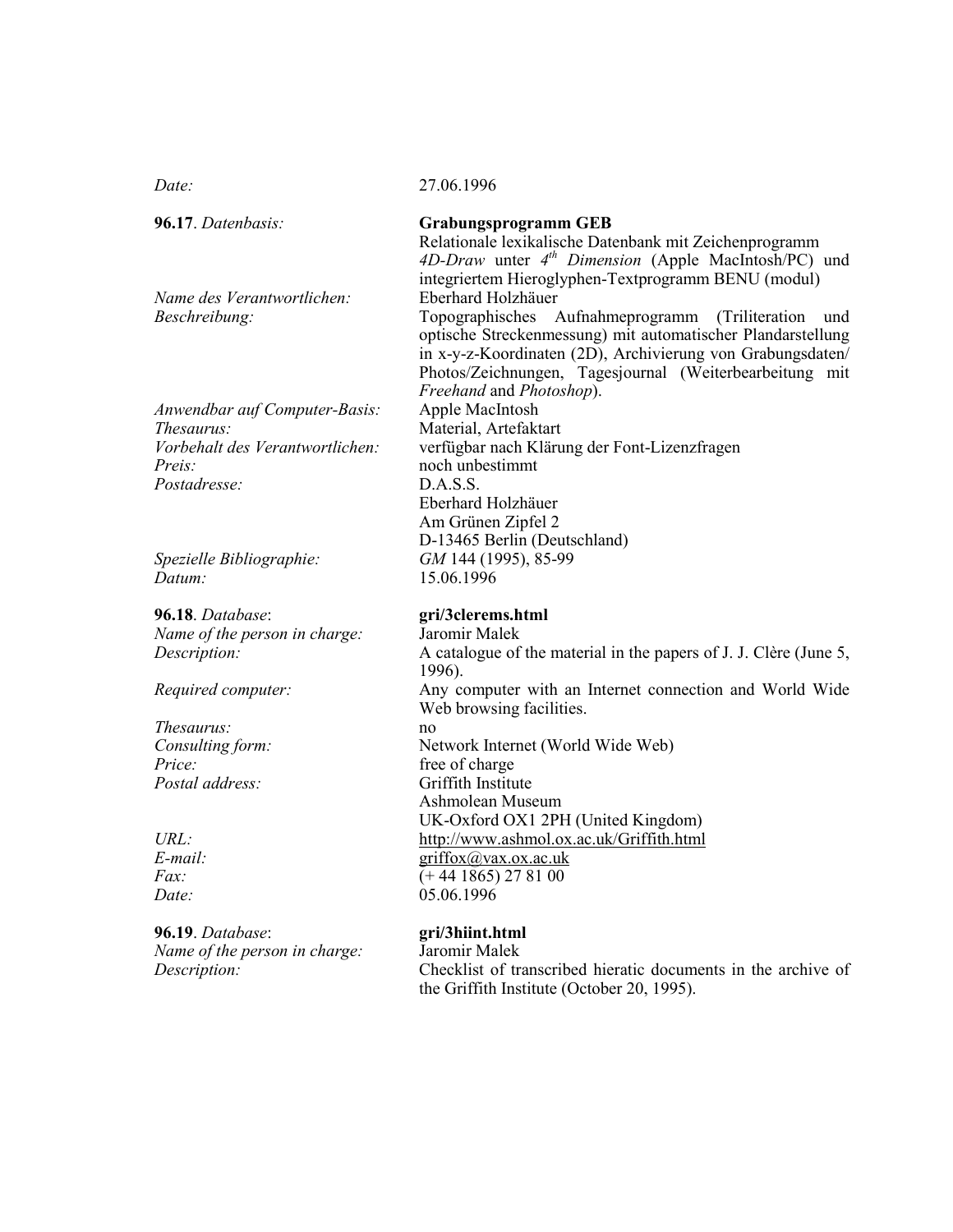$Date:$ 

96.17. Datenbasis:

| <i>Beschreibung:</i>            |
|---------------------------------|
|                                 |
|                                 |
|                                 |
| Anwendbar auf Computer-Basis:   |
| <i>Thesaurus:</i>               |
| Vorbehalt des Verantwortlichen: |
| Preis                           |
| <i>Postadresse:</i>             |

Name des Verantwortlichen:

Spezielle Bibliographie: Datum:

96.18. Database: Name of the person in charge: Description:

Required computer:

Thesaurus: Consulting form:  $Price:$ Postal address:

 $URL:$  $E$ -mail:  $Fax$  $Date:$ 

96.19. Database: Name of the person in charge: Description:

### **Grabungsprogramm GEB**

Relationale lexikalische Datenbank mit Zeichenprogramm 4D-Draw unter 4<sup>th</sup> Dimension (Apple MacIntosh/PC) und integriertem Hieroglyphen-Textprogramm BENU (modul) Eberhard Holzhäuer Topographisches Aufnahmeprogramm (Triliteration und optische Streckenmessung) mit automatischer Plandarstellung in x-y-z-Koordinaten (2D), Archivierung von Grabungsdaten/ Photos/Zeichnungen, Tagesjournal (Weiterbearbeitung mit Freehand and Photoshop). Apple MacIntosh Material, Artefaktart verfügbar nach Klärung der Font-Lizenzfragen noch unbestimmt DASS. Eberhard Holzhäuer Am Grünen Zipfel 2 D-13465 Berlin (Deutschland) GM 144 (1995), 85-99 15.06.1996

# gri/3clerems.html

Jaromir Malek A catalogue of the material in the papers of J. J. Clère (June 5, 1996). Any computer with an Internet connection and World Wide Web browsing facilities. no Network Internet (World Wide Web) free of charge Griffith Institute Ashmolean Museum UK-Oxford OX1 2PH (United Kingdom) http://www.ashmol.ox.ac.uk/Griffith.html griffox@vax.ox.ac.uk  $(+ 44 1865) 27 81 00$ 05.06.1996

# gri/3hiint.html

Jaromir Malek Checklist of transcribed hieratic documents in the archive of the Griffith Institute (October 20, 1995).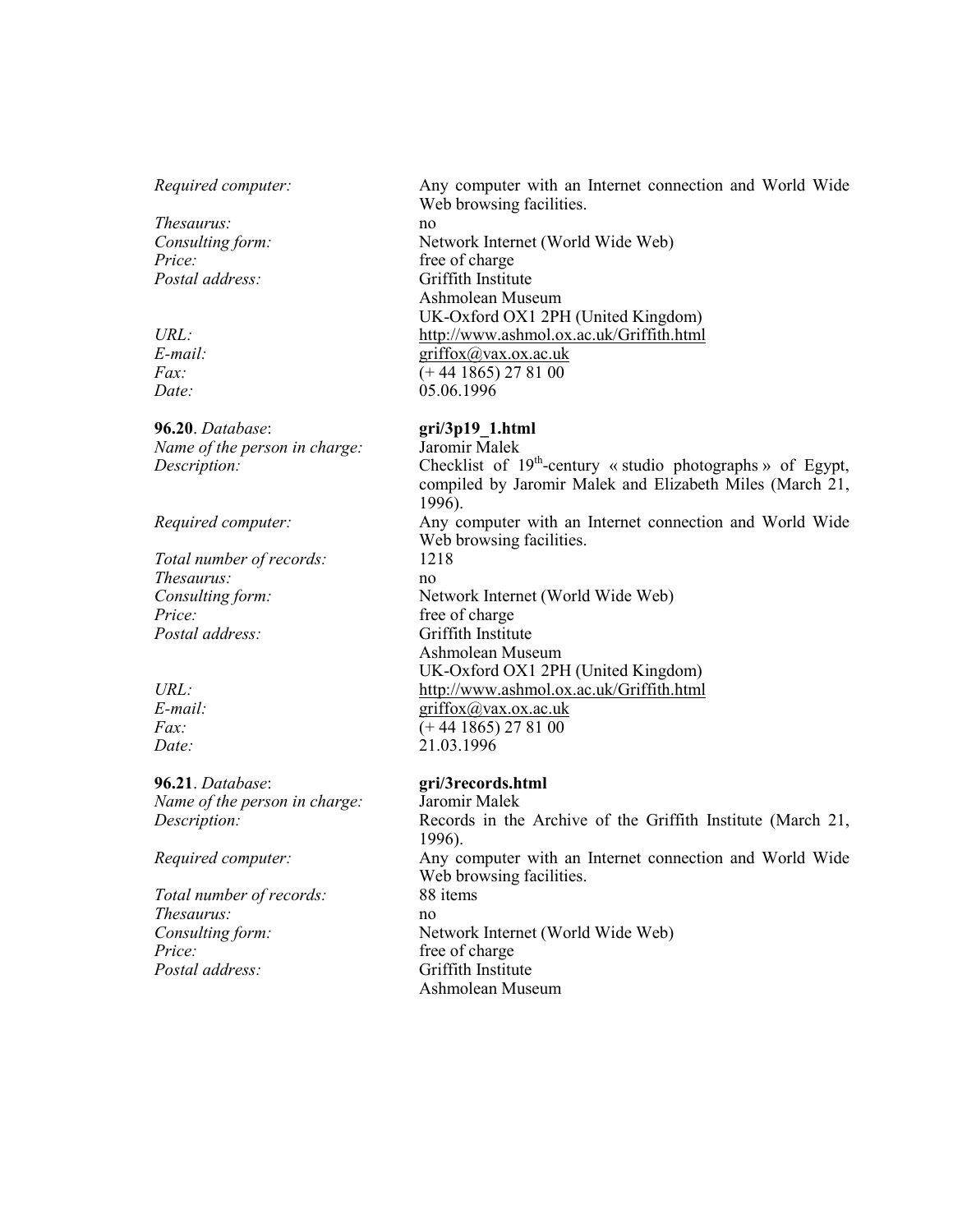### Required computer:

Thesaurus: Consulting form:  $Price:$ Postal address:

 $URL:$  $E$ -mail:  $Fax$ :  $Date:$ 

96.20. Database: Name of the person in charge: Description:

Required computer:

Total number of records: Thesaurus: Consulting form: Price: Postal address:

 $URL:$  $E$ -mail:  $Fax$ : Date:

96.21. Database: Name of the person in charge: Description:

### Required computer:

Total number of records: Thesaurus: Consulting form: Price: Postal address:

Any computer with an Internet connection and World Wide Web browsing facilities.

no Network Internet (World Wide Web) free of charge Griffith Institute Ashmolean Museum UK-Oxford OX1 2PH (United Kingdom) http://www.ashmol.ox.ac.uk/Griffith.html  $griffox@vax.ox.ac.uk$  $(+ 44 1865) 27 81 00$ 05.06.1996

# $gri/3p19$  1.html

Jaromir Malek Checklist of  $19<sup>th</sup>$ -century « studio photographs » of Egypt, compiled by Jaromir Malek and Elizabeth Miles (March 21, 1996). Any computer with an Internet connection and World Wide Web browsing facilities. 1218 no Network Internet (World Wide Web) free of charge Griffith Institute Ashmolean Museum UK-Oxford OX1 2PH (United Kingdom) http://www.ashmol.ox.ac.uk/Griffith.html  $griffox@vax.ox.ac.uk$  $(+ 44 1865) 27 81 00$ 21.03.1996

## gri/3records.html

Jaromir Malek Records in the Archive of the Griffith Institute (March 21, 1996). Any computer with an Internet connection and World Wide Web browsing facilities. 88 items no Network Internet (World Wide Web) free of charge Griffith Institute Ashmolean Museum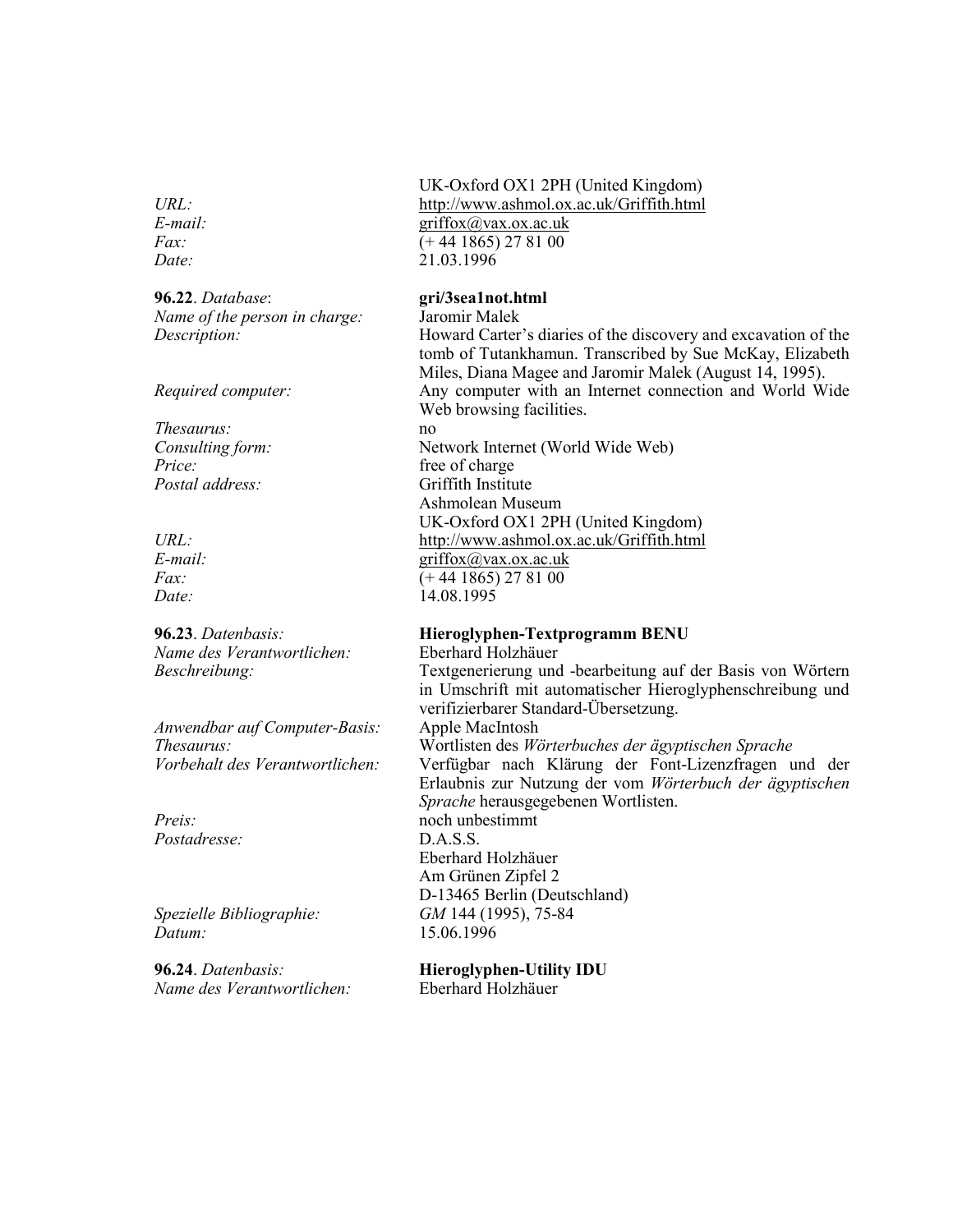E-mail:  $Fax$ :  $Date:$ 

**96.22**. Databa se: gr Name of the person in cha

Required computer:

Thesaurus: n Consulting form:  $Price:$ Postal a

 $E$ -mail:  $Fax$ :  $Date:$ 

**96.23**. Datenba Name des Vera Beschreibung:

Anwendbar auf Computer-Ba Thesaurus: Vorbehalt des Vera

Preis: reis: n Posta

Spezielle Bibliographie: Datum:

**96.24**. Datenba Name des Vera

### UK-Oxford OX1 2PH (United Kingdom) URL: http://www.ashmol.ox.ac.uk/Griffith.html griffox@vax.ox.ac.uk  $(+ 44 1865) 27 81 00$ 21.03.1996

## gri/3sea1not.html

Jaromir Malek

no

Description: Howard Carter's diaries of the discovery and excavation of the tomb of Tutankhamun. Transcribed by Sue McKay, Elizabeth Miles, Diana Magee and Jaromir Malek (August 14, 1995). y computer with an Internet connection and World Wide Web browsing facilities.

ternet (World Wide Web) free of charge ddress: Griffith Institute Ashmolean Museum UK-Oxford OX1 2PH (United Kingdom) URL: http://www.ashmol.ox.ac.uk/Griffith.html  $griffox@vax.ox.ac.uk$  $( + 44 \ 1865) \ 27 \ 81 \ 00$ 14.08.1995

### sis: **Hieroglyphen-Textprogramm BENU**

Eberhard Holzhäuer erierung und -bearbeitung auf der Basis von Wörtern in Umschrift mit automatischer Hieroglyphenschreibung und verifizierbarer Standard-Übersetzung. sis: Apple MacIntosh urus: Wortlisten des Wörterbuches der ägyptischen Sprache ntwortlichen: Verfügbar nach Klärung der Font-Lizenzfragen und der Erlaubnis zur Nutzung der vom Wörterbuch der ägyptischen Sprache herausgegebenen Wortlisten. och unbestimmt  $D.A.S.S.$ Eberhard Holzhäuer Am Grünen Zipfel 2 D-13465 Berlin (Deutschland) GM 144 (1995), 75-84 15.06.1996

# sis: **Hieroglyphen-Utility IDU**

Eberhard Holzhäuer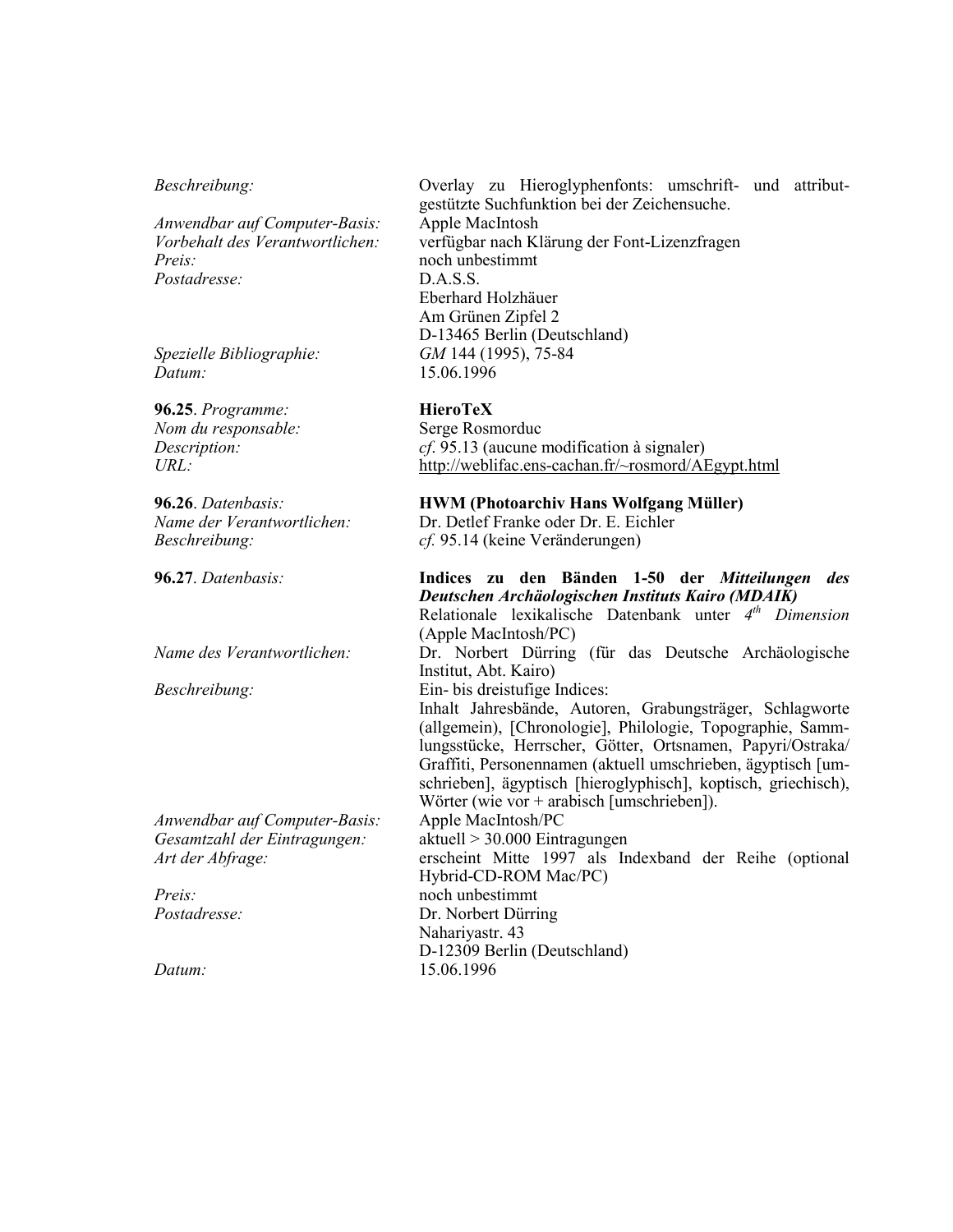# Beschreibung:

| Anwendbar auf Computer-Basis:<br>Vorbehalt des Verantwortlichen:<br>Preis:<br>Postadresse:<br>Spezielle Bibliographie:<br>Datum: | gestützte Suchfunktion bei der Zeichensuche.<br>Apple MacIntosh<br>verfügbar nach Klärung der Font-Lizenzfragen<br>noch unbestimmt<br>D.A.S.S.<br>Eberhard Holzhäuer<br>Am Grünen Zipfel 2<br>D-13465 Berlin (Deutschland)<br>GM 144 (1995), 75-84<br>15.06.1996                                                                                                                                      |
|----------------------------------------------------------------------------------------------------------------------------------|-------------------------------------------------------------------------------------------------------------------------------------------------------------------------------------------------------------------------------------------------------------------------------------------------------------------------------------------------------------------------------------------------------|
| 96.25. Programme:<br>Nom du responsable:<br>Description:<br>URL:                                                                 | <b>HieroTeX</b><br>Serge Rosmorduc<br><i>cf.</i> 95.13 (aucune modification à signaler)<br>http://weblifac.ens-cachan.fr/~rosmord/AEgypt.html                                                                                                                                                                                                                                                         |
| 96.26. Datenbasis:<br>Name der Verantwortlichen:<br>Beschreibung:                                                                | <b>HWM (Photoarchiv Hans Wolfgang Müller)</b><br>Dr. Detlef Franke oder Dr. E. Eichler<br>cf. 95.14 (keine Veränderungen)                                                                                                                                                                                                                                                                             |
| 96.27. Datenbasis:                                                                                                               | Indices zu den Bänden 1-50 der Mitteilungen des<br>Deutschen Archäologischen Instituts Kairo (MDAIK)<br>Relationale lexikalische Datenbank unter $4th$ Dimension<br>(Apple MacIntosh/PC)                                                                                                                                                                                                              |
| Name des Verantwortlichen:                                                                                                       | Dr. Norbert Dürring (für das Deutsche Archäologische<br>Institut, Abt. Kairo)                                                                                                                                                                                                                                                                                                                         |
| Beschreibung:                                                                                                                    | Ein- bis dreistufige Indices:<br>Inhalt Jahresbände, Autoren, Grabungsträger, Schlagworte<br>(allgemein), [Chronologie], Philologie, Topographie, Samm-<br>lungsstücke, Herrscher, Götter, Ortsnamen, Papyri/Ostraka/<br>Graffiti, Personennamen (aktuell umschrieben, ägyptisch [um-<br>schrieben], ägyptisch [hieroglyphisch], koptisch, griechisch),<br>Wörter (wie vor + arabisch [umschrieben]). |
| Anwendbar auf Computer-Basis:                                                                                                    | Apple MacIntosh/PC                                                                                                                                                                                                                                                                                                                                                                                    |
| Gesamtzahl der Eintragungen:<br>Art der Abfrage:                                                                                 | aktuell > 30.000 Eintragungen<br>erscheint Mitte 1997 als Indexband der Reihe (optional<br>Hybrid-CD-ROM Mac/PC)                                                                                                                                                                                                                                                                                      |
| Preis:                                                                                                                           | noch unbestimmt                                                                                                                                                                                                                                                                                                                                                                                       |
| Postadresse:                                                                                                                     | Dr. Norbert Dürring<br>Nahariyastr. 43<br>D-12309 Berlin (Deutschland)                                                                                                                                                                                                                                                                                                                                |
| Datum:                                                                                                                           | 15.06.1996                                                                                                                                                                                                                                                                                                                                                                                            |

Overlay zu Hieroglyphenfonts: umschrift- und attribut-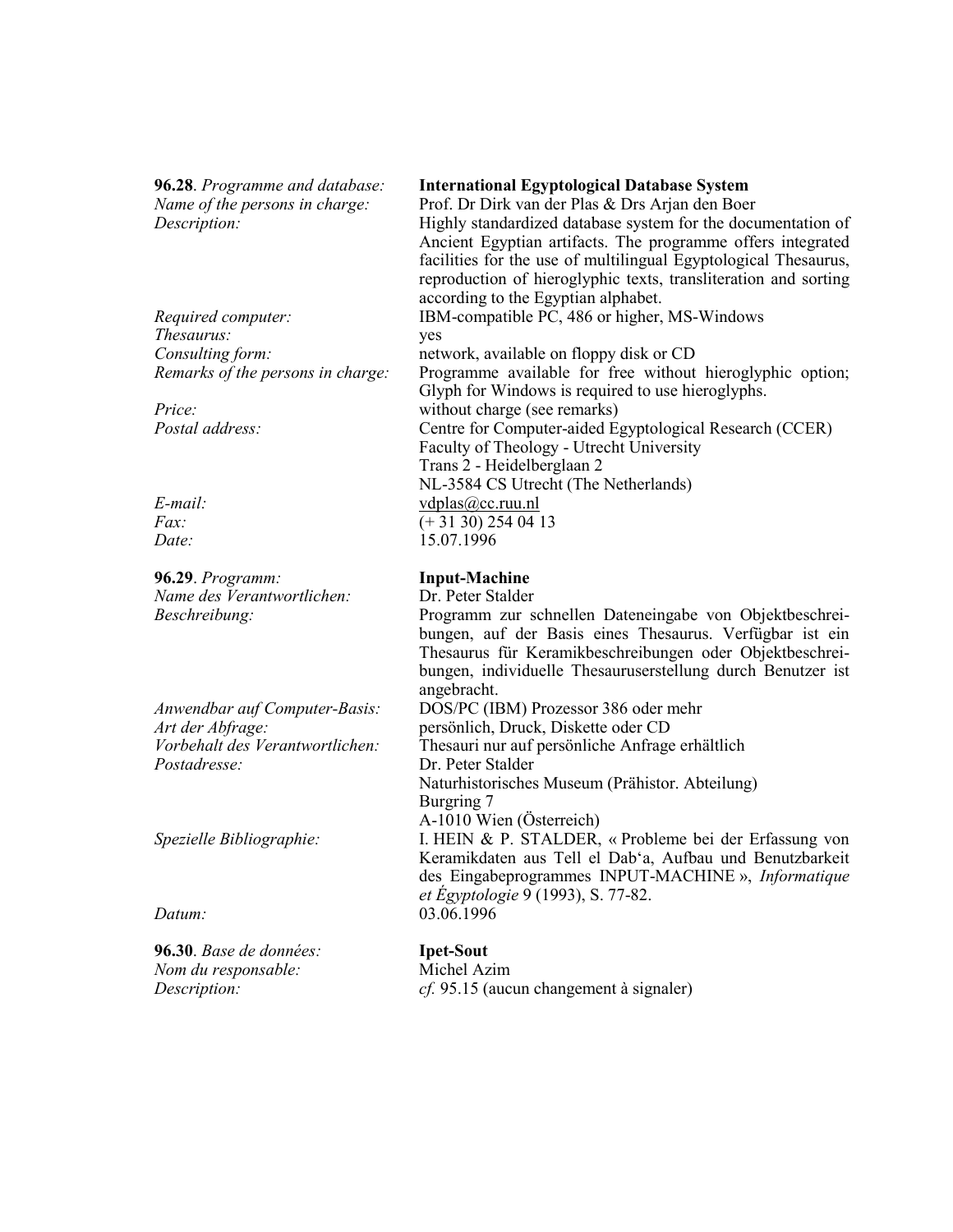96.28. Programme and database: Name of the persons in charge: Description:

Required computer: Thesaurus: Consulting form: Remarks of the persons in charge:

Price: Postal address:

 $E$ -mail:  $Fax$ : Date:

96.29. Programm: Name des Verantwortlichen: Beschreibung:

Anwendbar auf Computer-Basis: Art der Abfrage: Vorbehalt des Verantwortlichen: Postadresse:

Spezielle Bibliographie:

Datum:

96.30. Base de données: Nom du responsable: Description:

### **International Egyptological Database System**

Prof. Dr Dirk van der Plas & Drs Arjan den Boer Highly standardized database system for the documentation of Ancient Egyptian artifacts. The programme offers integrated facilities for the use of multilingual Egyptological Thesaurus, reproduction of hieroglyphic texts, transliteration and sorting according to the Egyptian alphabet. IBM-compatible PC, 486 or higher, MS-Windows yes network, available on floppy disk or CD Programme available for free without hieroglyphic option; Glyph for Windows is required to use hieroglyphs. without charge (see remarks) Centre for Computer-aided Egyptological Research (CCER) Faculty of Theology - Utrecht University Trans 2 - Heidelberglaan 2 NL-3584 CS Utrecht (The Netherlands)  $vdplas@cc.ruu.nl$  $(+3130)$  254 04 13 15.07.1996

## **Input-Machine**

Dr. Peter Stalder

Programm zur schnellen Dateneingabe von Objektbeschreibungen, auf der Basis eines Thesaurus. Verfügbar ist ein Thesaurus für Keramikbeschreibungen oder Obiektbeschreibungen, individuelle Thesauruserstellung durch Benutzer ist angebracht.

DOS/PC (IBM) Prozessor 386 oder mehr persönlich, Druck, Diskette oder CD Thesauri nur auf persönliche Anfrage erhältlich Dr. Peter Stalder Naturhistorisches Museum (Prähistor, Abteilung) Burgring 7 A-1010 Wien (Österreich) I. HEIN & P. STALDER, « Probleme bei der Erfassung von

Keramikdaten aus Tell el Dab'a. Aufbau und Benutzbarkeit des Eingabeprogrammes INPUT-MACHINE », Informatique *et Egyptologie* 9 (1993), S. 77-82. 03.06.1996

### **Ipet-Sout**

Michel Azim *cf.* 95.15 (aucun changement à signaler)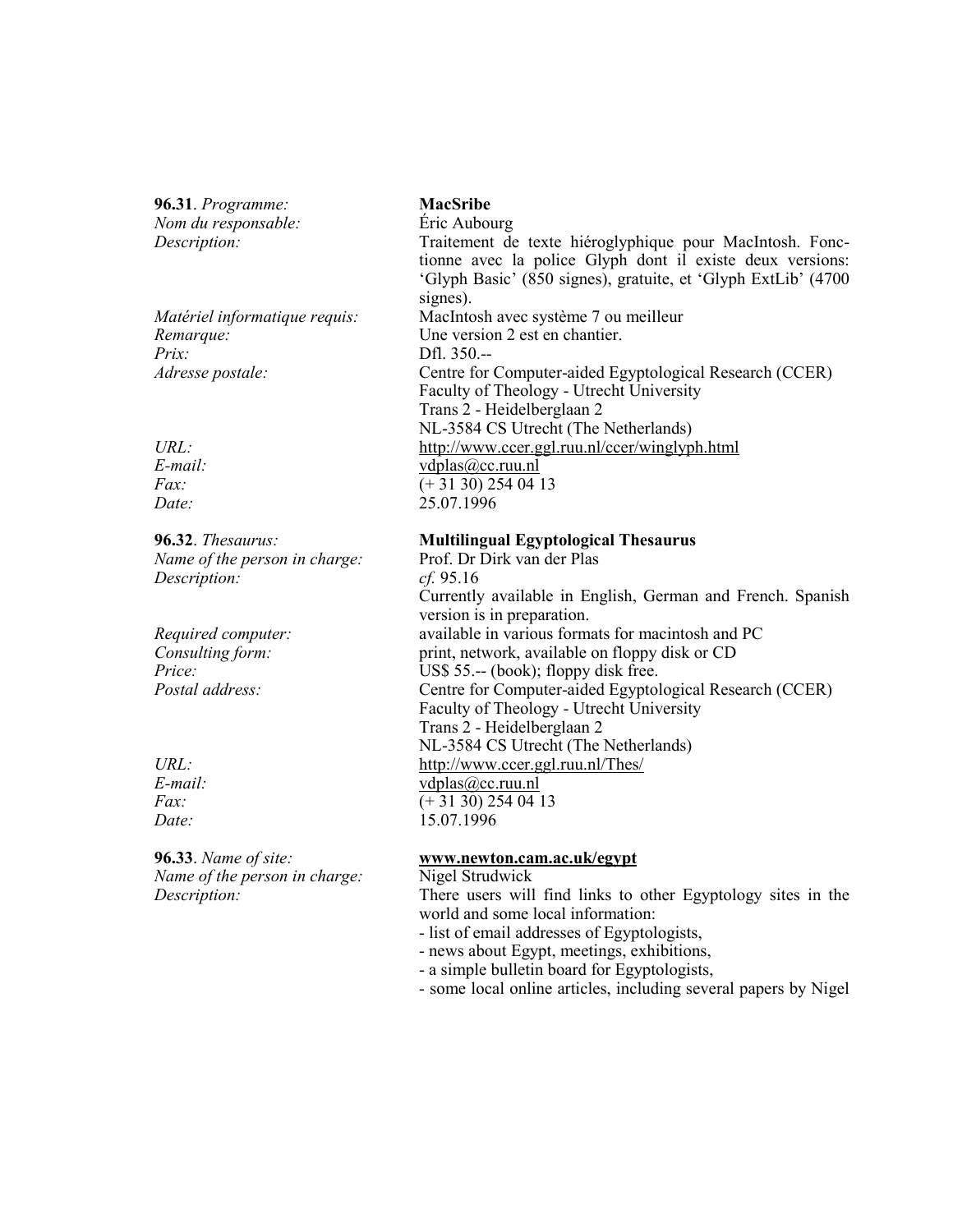96.31. Programme: Nom du responsable: Description:

Matériel informatique requis: Remarque:  $Prix$ : Adresse postale:

 $URL:$  $E$ -mail:  $Fax$  $Date:$ 

96.32. Thesaurus: Name of the person in charge: Description:

Required computer: Consulting form:  $Price:$ Postal address:

 $URL:$  $E$ -mail:  $Fax$ Date:

96.33. Name of site: Name of the person in charge: Description:

# **MacSribe**

Éric Aubourg Traitement de texte hiéroglyphique pour MacIntosh. Fonctionne avec la police Glyph dont il existe deux versions: 'Glyph Basic' (850 signes), gratuite, et 'Glyph ExtLib' (4700 signes). MacIntosh avec système 7 ou meilleur Une version 2 est en chantier. Dfl. 350.--Centre for Computer-aided Egyptological Research (CCER) Faculty of Theology - Utrecht University Trans 2 - Heidelberglaan 2 NL-3584 CS Utrecht (The Netherlands) http://www.ccer.ggl.ruu.nl/ccer/winglyph.html vdplas@cc.ruu.nl  $(+3130)$  254 04 13 25.07.1996

## **Multilingual Egyptological Thesaurus**

Prof. Dr Dirk van der Plas  $cf. 95.16$ Currently available in English, German and French. Spanish version is in preparation. available in various formats for macintosh and PC print, network, available on floppy disk or CD US\$  $55$ .-- (book); floppy disk free. Centre for Computer-aided Egyptological Research (CCER) Faculty of Theology - Utrecht University Trans 2 - Heidelberglaan 2 NL-3584 CS Utrecht (The Netherlands) http://www.ccer.ggl.ruu.nl/Thes/ vdplas@cc.ruu.nl  $(+3130)$  254 04 13 15.07.1996

### www.newton.cam.ac.uk/egypt

Nigel Strudwick There users will find links to other Egyptology sites in the world and some local information:

- list of email addresses of Egyptologists,
- news about Egypt, meetings, exhibitions,
- a simple bulletin board for Egyptologists,
- some local online articles, including several papers by Nigel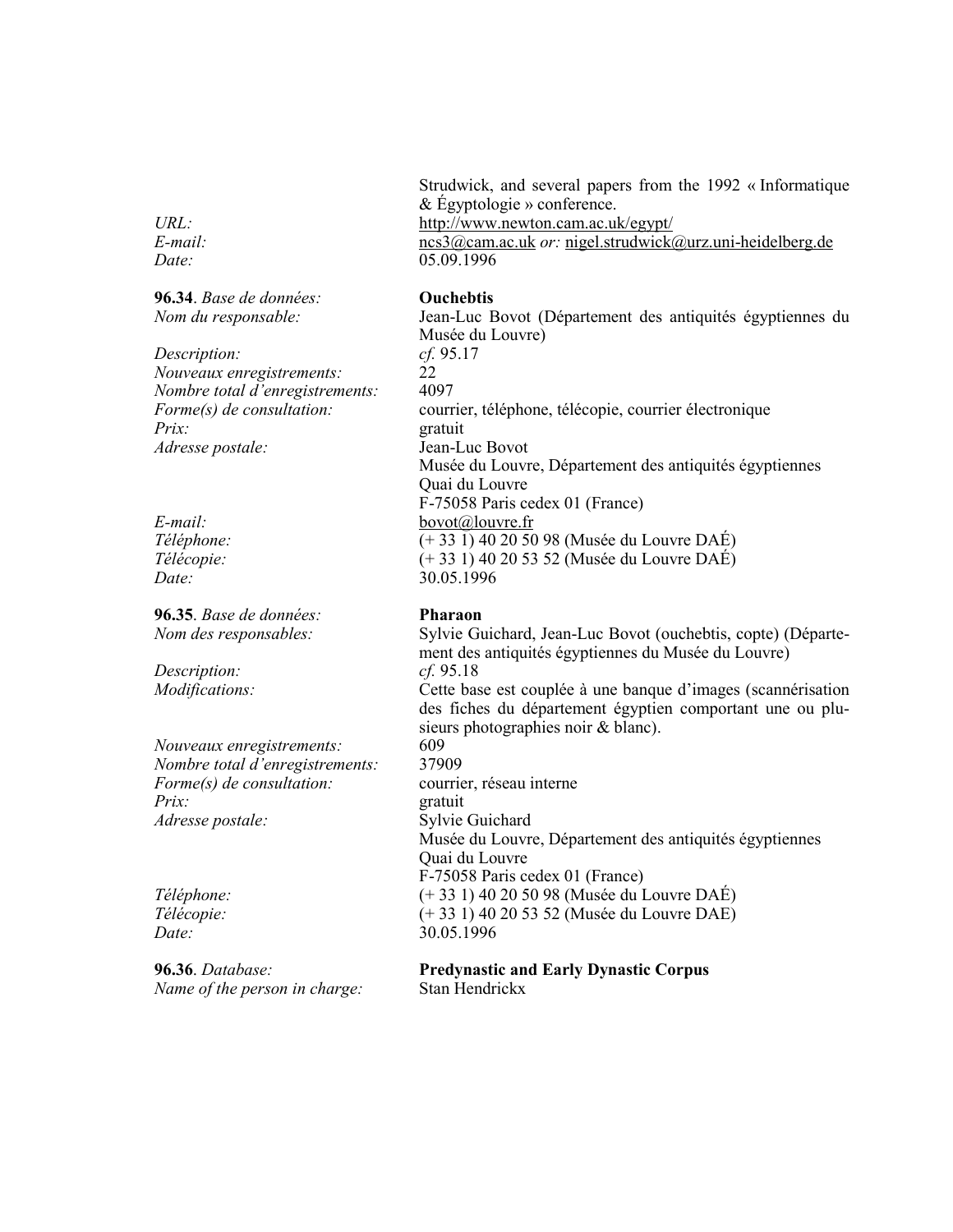$URL:$  $E$ -mail:  $Date:$ 

96.34. Base de données: Nom du responsable:

Description: Nouveaux enregistrements: Nombre total d'enregistrements: Forme(s) de consultation:  $Priv$ Adresse postale:

 $E$ -mail: Téléphone: Télécopie: Date:

96.35. Base de données: Nom des responsables:

Description: Modifications:

Nouveaux enregistrements: Nombre total d'enregistrements:  $\textit{Forme}(s)$  de consultation:  $Priv$ Adresse postale:

Téléphone: Télécopie: Date:

96.36. Database: Name of the person in charge: Strudwick, and several papers from the 1992 « Informatique & Egyptologie » conference. http://www.newton.cam.ac.uk/egypt/  $ncs3(a)$ cam.ac.uk *or*: nigel.strudwick@urz.uni-heidelberg.de  $05.09.1996$ 

### **Ouchebtis**

Jean-Luc Bovot (Département des antiquités égyptiennes du Musée du Louvre) cf. 95.17  $22$ 4097 courrier, téléphone, télécopie, courrier électronique gratuit Jean-Luc Bovot Musée du Louvre, Département des antiquités égyptiennes Quai du Louvre F-75058 Paris cedex 01 (France) bovot@louvre.fr  $\sqrt{(+33 \, 1)}\,40\,20\,50\,98$  (Musée du Louvre DAÉ)  $(+ 33 1)$  40 20 53 52 (Musée du Louvre DAÉ) 30.05.1996

### **Pharaon**

Sylvie Guichard, Jean-Luc Bovot (ouchebtis, copte) (Département des antiquités égyptiennes du Musée du Louvre)  $cf. 95.18$ Cette base est couplée à une banque d'images (scannérisation des fiches du département égyptien comportant une ou plusieurs photographies noir & blanc). 609 37909

courrier, réseau interne gratuit Sylvie Guichard Musée du Louvre, Département des antiquités égyptiennes Quai du Louvre F-75058 Paris cedex 01 (France) (+ 33 1) 40 20 50 98 (Musée du Louvre DAÉ) (+ 33 1) 40 20 53 52 (Musée du Louvre DAE) 30.05.1996

### **Predynastic and Early Dynastic Corpus** Stan Hendrickx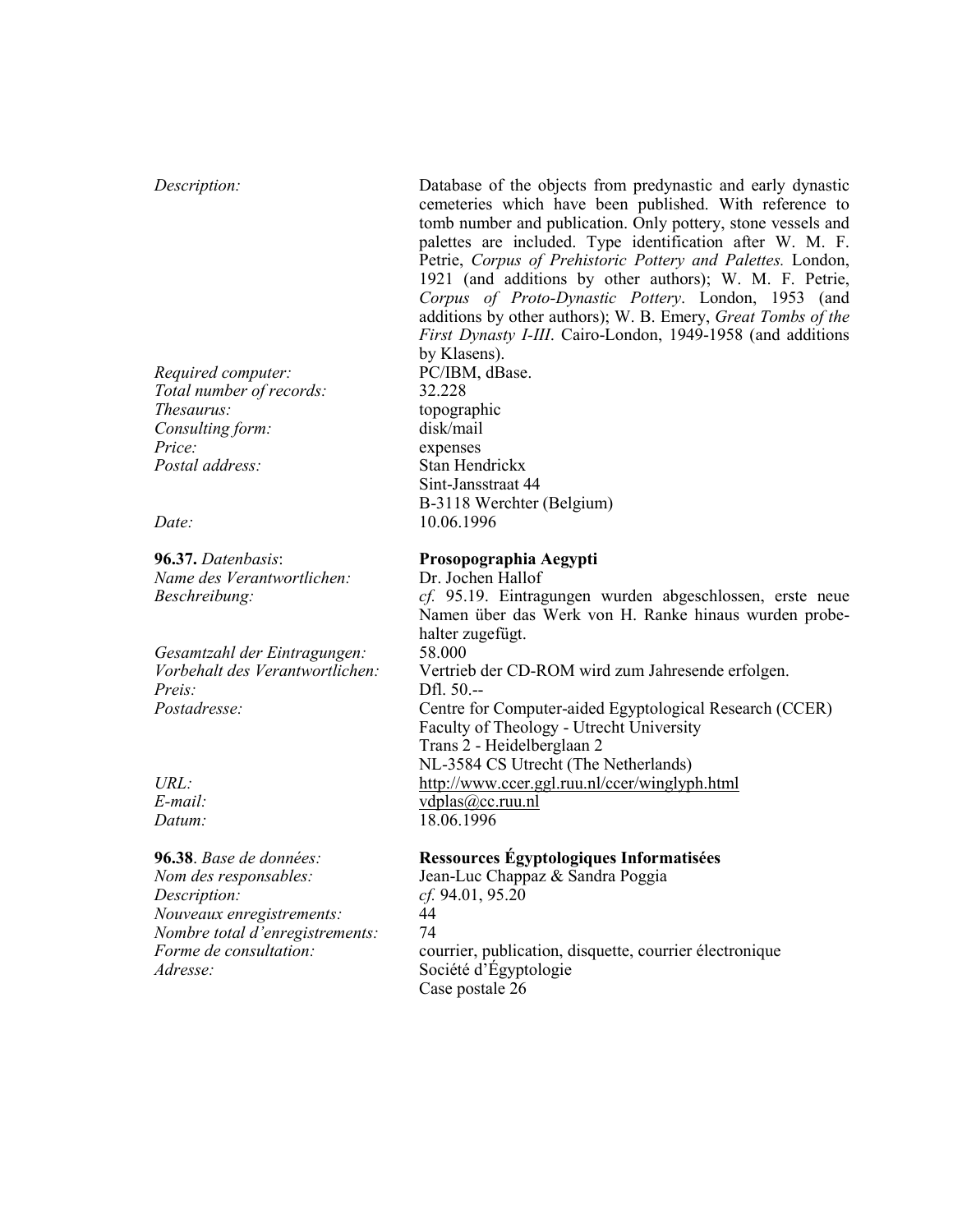### Description:

Required computer: Total number of records: Thesaurus: Consulting form: Price: Postal address:

### Date:

96.37. Datenbasis: Name des Verantwortlichen: Beschreibung:

Gesamtzahl der Eintragungen: Vorbehalt des Verantwortlichen:  $Preis:$ Postadresse:

 $URL:$  $E$ -mail: Datum:

96.38. Base de données: Nom des responsables: Description: Nouveaux enregistrements: Nombre total d'enregistrements: Forme de consultation: Adresse:

Database of the objects from predynastic and early dynastic cemeteries which have been published. With reference to tomb number and publication. Only pottery, stone vessels and palettes are included. Type identification after W. M. F. Petrie, Corpus of Prehistoric Pottery and Palettes. London, 1921 (and additions by other authors); W. M. F. Petrie, Corpus of Proto-Dynastic Pottery. London, 1953 (and additions by other authors); W. B. Emery, Great Tombs of the First Dynasty I-III. Cairo-London, 1949-1958 (and additions by Klasens). PC/IBM, dBase.

32.228 topographic disk/mail expenses Stan Hendrickx Sint-Jansstraat 44 B-3118 Werchter (Belgium) 10.06.1996

### Prosopographia Aegypti

Dr. Jochen Hallof cf. 95.19. Eintragungen wurden abgeschlossen, erste neue Namen über das Werk von H. Ranke hinaus wurden probehalter zugefügt. 58,000 Vertrieb der CD-ROM wird zum Jahresende erfolgen.  $Df1.50--$ Centre for Computer-aided Egyptological Research (CCER) Faculty of Theology - Utrecht University Trans 2 - Heidelberglaan 2 NL-3584 CS Utrecht (The Netherlands) http://www.ccer.ggl.ruu.nl/ccer/winglyph.html vdplas@cc.ruu.nl 18.06.1996

## Ressources Égyptologiques Informatisées

Jean-Luc Chappaz & Sandra Poggia  $cf. 94.01, 95.20$ 44 74 courrier, publication, disquette, courrier électronique Société d'Égyptologie Case postale 26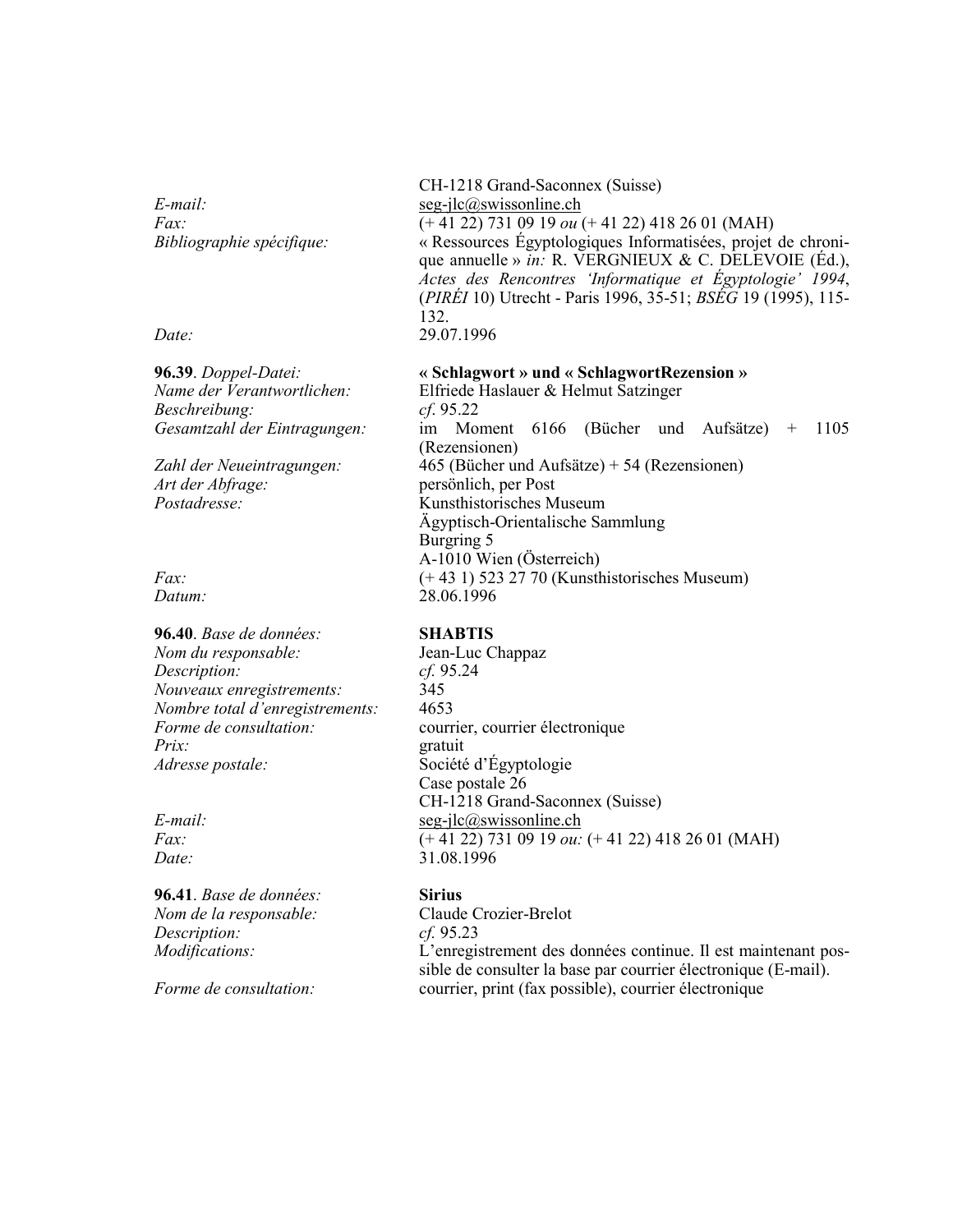$E$ -mail:  $Fax$ : Bibliographie spécifique:

Date:

96.39. Doppel-Datei: Name der Verantwortlichen: Beschreibung: Gesamtzahl der Eintragungen:

Zahl der Neueintragungen: Art der Abfrage: Postadresse:

 $Fax$ : Datum:

96.40. Base de données: Nom du responsable: Description: Nouveaux enregistrements: Nombre total d'enregistrements: Forme de consultation:  $Prix$ : Adresse postale:

 $E$ -mail:  $Fax$ Date:

96.41. Base de données: Nom de la responsable: Description: Modifications:

Forme de consultation:

CH-1218 Grand-Saconnex (Suisse)  $seg-ilc@swissonline.ch$  $\overline{(+41\,22)\,731\,09\,19\,ou}$  (+ 41 22) 418 26 01 (MAH) « Ressources Égyptologiques Informatisées, projet de chronique annuelle » *in*: R. VERGNIEUX & C. DELEVOIE (Éd.), Actes des Rencontres 'Informatique et Égyptologie' 1994, (PIRÉI 10) Utrecht - Paris 1996, 35-51; BSÉG 19 (1995), 115-132. 29.07.1996

### « Schlagwort » und « Schlagwort Rezension »

Elfriede Haslauer & Helmut Satzinger  $cf. 95.22$ im Moment 6166 (Bücher und Aufsätze) + 1105 (Rezensionen)  $465$  (Bücher und Aufsätze) + 54 (Rezensionen) persönlich, per Post Kunsthistorisches Museum Ägyptisch-Orientalische Sammlung Burgring 5 A-1010 Wien (Österreich)  $(+431)$  523 27 70 (Kunsthistorisches Museum) 28.06.1996

### **SHABTIS**

Jean-Luc Chappaz  $cf. 95.24$ 345 4653 courrier, courrier électronique gratuit Société d'Égyptologie Case postale 26 CH-1218 Grand-Saconnex (Suisse)  $seg-ilc@swissonline.ch$  $(+41 22) 731 09 19 \omega$ :  $(+41 22) 418 26 01 (MAH)$ 31.08.1996

### **Sirius**

Claude Crozier-Brelot cf. 95.23 L'enregistrement des données continue. Il est maintenant possible de consulter la base par courrier électronique (E-mail). courrier, print (fax possible), courrier électronique